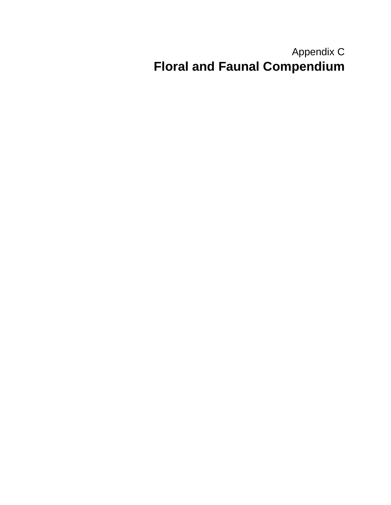## Appendix C **Floral and Faunal Compendium**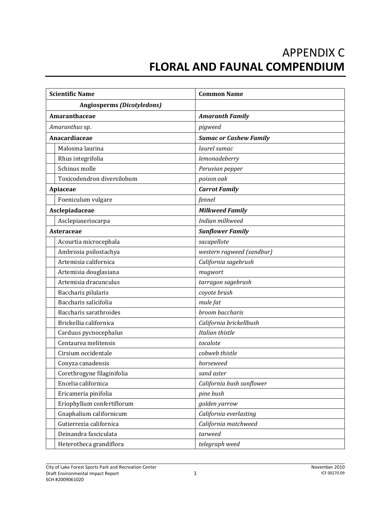## APPENDIX C **FLORAL AND FAUNAL COMPENDIUM**

| <b>Scientific Name</b>            | <b>Common Name</b>            |
|-----------------------------------|-------------------------------|
| <b>Angiosperms (Dicotyledons)</b> |                               |
| Amaranthaceae                     | <b>Amaranth Family</b>        |
| Amaranthus sp.                    | pigweed                       |
| Anacardiaceae                     | <b>Sumac or Cashew Family</b> |
| Malosma laurina                   | laurel sumac                  |
| Rhus integrifolia                 | lemonadeberry                 |
| Schinus molle                     | Peruvian pepper               |
| Toxicodendron diversilobum        | poison oak                    |
| Apiaceae                          | <b>Carrot Family</b>          |
| Foeniculum vulgare                | fennel                        |
| Asclepiadaceae                    | <b>Milkweed Family</b>        |
| Asclepiaseriocarpa                | Indian milkweed               |
| <b>Asteraceae</b>                 | <b>Sunflower Family</b>       |
| Acourtia microcephala             | sacapellote                   |
| Ambrosia psilostachya             | western ragweed (sandbur)     |
| Artemisia californica             | California sagebrush          |
| Artemisia douglasiana             | mugwort                       |
| Artemisia dracunculus             | tarragon sagebrush            |
| Baccharis pilularis               | coyote brush                  |
| Baccharis salicifolia             | mule fat                      |
| Baccharis sarathroides            | broom baccharis               |
| Brickellia californica            | California brickellbush       |
| Carduus pycnocephalus             | Italian thistle               |
| Centaurea melitensis              | tocalote                      |
| Cirsium occidentale               | cobweb thistle                |
| Conyza canadensis                 | horseweed                     |
| Corethrogyne filaginifolia        | sand aster                    |
| Encelia californica               | California bush sunflower     |
| Ericameria pinifolia              | pine bush                     |
| Eriophyllum confertiflorum        | golden yarrow                 |
| Gnaphalium californicum           | California everlasting        |
| Gutierrezia californica           | California matchweed          |
| Deinandra fasciculata             | tarweed                       |
| Heterotheca grandiflora           | telegraph weed                |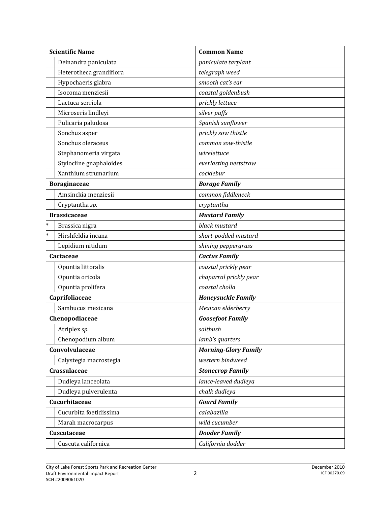|        | <b>Scientific Name</b>  | <b>Common Name</b>          |
|--------|-------------------------|-----------------------------|
|        | Deinandra paniculata    | paniculate tarplant         |
|        | Heterotheca grandiflora | telegraph weed              |
|        | Hypochaeris glabra      | smooth cat's ear            |
|        | Isocoma menziesii       | coastal goldenbush          |
|        | Lactuca serriola        | prickly lettuce             |
|        | Microseris lindleyi     | silver puffs                |
|        | Pulicaria paludosa      | Spanish sunflower           |
|        | Sonchus asper           | prickly sow thistle         |
|        | Sonchus oleraceus       | common sow-thistle          |
|        | Stephanomeria virgata   | wirelettuce                 |
|        | Stylocline gnaphaloides | everlasting neststraw       |
|        | Xanthium strumarium     | cocklebur                   |
|        | <b>Boraginaceae</b>     | <b>Borage Family</b>        |
|        | Amsinckia menziesii     | common fiddleneck           |
|        | Cryptantha sp.          | cryptantha                  |
|        | <b>Brassicaceae</b>     | <b>Mustard Family</b>       |
|        | Brassica nigra          | black mustard               |
| $\ast$ | Hirshfeldia incana      | short-podded mustard        |
|        | Lepidium nitidum        | shining peppergrass         |
|        | <b>Cactaceae</b>        | <b>Cactus Family</b>        |
|        | Opuntia littoralis      | coastal prickly pear        |
|        | Opuntia oricola         | chaparral prickly pear      |
|        | Opuntia prolifera       | coastal cholla              |
|        | Caprifoliaceae          | <b>Honeysuckle Family</b>   |
|        | Sambucus mexicana       | Mexican elderberry          |
|        | Chenopodiaceae          | <b>Goosefoot Family</b>     |
|        | Atriplex sp.            | saltbush                    |
|        | Chenopodium album       | lamb's quarters             |
|        | Convolvulaceae          | <b>Morning-Glory Family</b> |
|        | Calystegia macrostegia  | western bindweed            |
|        | Crassulaceae            | <b>Stonecrop Family</b>     |
|        | Dudleya lanceolata      | lance-leaved dudleya        |
|        | Dudleya pulverulenta    | chalk dudleya               |
|        | Cucurbitaceae           | <b>Gourd Family</b>         |
|        | Cucurbita foetidissima  | calabazilla                 |
|        | Marah macrocarpus       | wild cucumber               |
|        | <b>Cuscutaceae</b>      | <b>Dooder Family</b>        |
|        | Cuscuta californica     | California dodder           |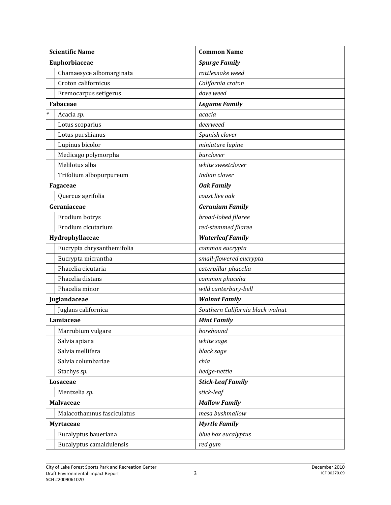| <b>Scientific Name</b>     | <b>Common Name</b>               |
|----------------------------|----------------------------------|
| Euphorbiaceae              | <b>Spurge Family</b>             |
| Chamaesyce albomarginata   | rattlesnake weed                 |
| Croton californicus        | California croton                |
| Eremocarpus setigerus      | dove weed                        |
| <b>Fabaceae</b>            | <b>Legume Family</b>             |
| Acacia sp.                 | acacia                           |
| Lotus scoparius            | deerweed                         |
| Lotus purshianus           | Spanish clover                   |
| Lupinus bicolor            | miniature lupine                 |
| Medicago polymorpha        | burclover                        |
| Melilotus alba             | white sweetclover                |
| Trifolium albopurpureum    | Indian clover                    |
| Fagaceae                   | <b>Oak Family</b>                |
| Quercus agrifolia          | coast live oak                   |
| Geraniaceae                | <b>Geranium Family</b>           |
| Erodium botrys             | broad-lobed filaree              |
| Erodium cicutarium         | red-stemmed filaree              |
| Hydrophyllaceae            | <b>Waterleaf Family</b>          |
| Eucrypta chrysanthemifolia | common eucrypta                  |
| Eucrypta micrantha         | small-flowered eucrypta          |
| Phacelia cicutaria         | caterpillar phacelia             |
| Phacelia distans           | common phacelia                  |
| Phacelia minor             | wild canterbury-bell             |
| Juglandaceae               | <b>Walnut Family</b>             |
| Juglans californica        | Southern California black walnut |
| Lamiaceae                  | <b>Mint Family</b>               |
| Marrubium vulgare          | horehound                        |
| Salvia apiana              | white sage                       |
| Salvia mellifera           | black sage                       |
| Salvia columbariae         | chia                             |
| Stachys sp.                | hedge-nettle                     |
| Losaceae                   | <b>Stick-Leaf Family</b>         |
| Mentzelia sp.              | stick-leaf                       |
| <b>Malvaceae</b>           | <b>Mallow Family</b>             |
| Malacothamnus fasciculatus | mesa bushmallow                  |
| <b>Myrtaceae</b>           | <b>Myrtle Family</b>             |
| Eucalyptus baueriana       | blue box eucalyptus              |
| Eucalyptus camaldulensis   | red gum                          |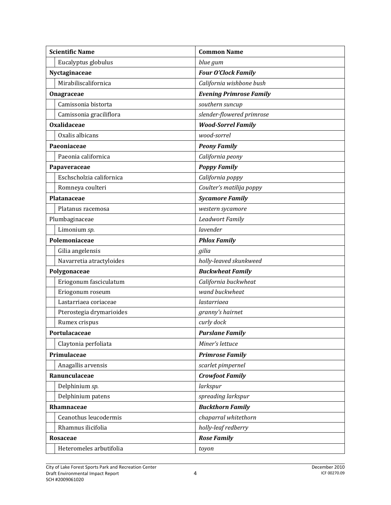| <b>Scientific Name</b>   | <b>Common Name</b>             |
|--------------------------|--------------------------------|
| Eucalyptus globulus      | blue gum                       |
| Nyctaginaceae            | <b>Four O'Clock Family</b>     |
| Mirabiliscalifornica     | California wishbone bush       |
| Onagraceae               | <b>Evening Primrose Family</b> |
| Camissonia bistorta      | southern suncup                |
| Camissonia graciliflora  | slender-flowered primrose      |
| <b>Oxalidaceae</b>       | <b>Wood-Sorrel Family</b>      |
| Oxalis albicans          | wood-sorrel                    |
| Paeoniaceae              | <b>Peony Family</b>            |
| Paeonia californica      | California peony               |
| Papaveraceae             | <b>Poppy Family</b>            |
| Eschscholzia californica | California poppy               |
| Romneya coulteri         | Coulter's matilija poppy       |
| Platanaceae              | <b>Sycamore Family</b>         |
| Platanus racemosa        | western sycamore               |
| Plumbaginaceae           | <b>Leadwort Family</b>         |
| Limonium sp.             | lavender                       |
| Polemoniaceae            | <b>Phlox Family</b>            |
| Gilia angelensis         | gilia                          |
| Navarretia atractyloides | holly-leaved skunkweed         |
| Polygonaceae             | <b>Buckwheat Family</b>        |
| Eriogonum fasciculatum   | California buckwheat           |
| Eriogonum roseum         | wand buckwheat                 |
| Lastarriaea coriaceae    | lastarriaea                    |
| Pterostegia drymarioides | granny's hairnet               |
| Rumex crispus            | curly dock                     |
| Portulacaceae            | <b>Purslane Family</b>         |
| Claytonia perfoliata     | Miner's lettuce                |
| Primulaceae              | <b>Primrose Family</b>         |
| Anagallis arvensis       | scarlet pimpernel              |
| Ranunculaceae            | <b>Crowfoot Family</b>         |
| Delphinium sp.           | larkspur                       |
| Delphinium patens        | spreading larkspur             |
| Rhamnaceae               | <b>Buckthorn Family</b>        |
| Ceanothus leucodermis    | chaparral whitethorn           |
| Rhamnus ilicifolia       | holly-leaf redberry            |
| <b>Rosaceae</b>          | <b>Rose Family</b>             |
| Heteromeles arbutifolia  | toyon                          |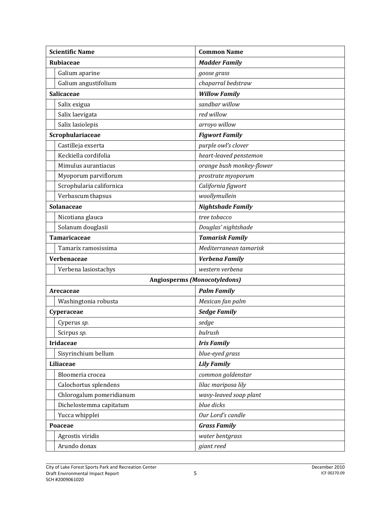| <b>Scientific Name</b>   | <b>Common Name</b>                  |
|--------------------------|-------------------------------------|
| <b>Rubiaceae</b>         | <b>Madder Family</b>                |
| Galium aparine           | goose grass                         |
| Galium angustifolium     | chaparral bedstraw                  |
| Salicaceae               | <b>Willow Family</b>                |
| Salix exigua             | sandbar willow                      |
| Salix laevigata          | red willow                          |
| Salix lasiolepis         | arroyo willow                       |
| Scrophulariaceae         | <b>Figwort Family</b>               |
| Castilleja exserta       | purple owl's clover                 |
| Keckiella cordifolia     | heart-leaved penstemon              |
| Mimulus aurantiacus      | orange bush monkey-flower           |
| Myoporum parviflorum     | prostrate myoporum                  |
| Scrophularia californica | California figwort                  |
| Verbascum thapsus        | woollymullein                       |
| Solanaceae               | <b>Nightshade Family</b>            |
| Nicotiana glauca         | tree tobacco                        |
| Solanum douglasii        | Douglas' nightshade                 |
| <b>Tamaricaceae</b>      | <b>Tamarisk Family</b>              |
| Tamarix ramosissima      | Mediterranean tamarisk              |
| Verbenaceae              | Verbena Family                      |
| Verbena lasiostachys     | western verbena                     |
|                          | <b>Angiosperms (Monocotyledons)</b> |
| Arecaceae                | <b>Palm Family</b>                  |
| Washingtonia robusta     | Mexican fan palm                    |
| Cyperaceae               | <b>Sedge Family</b>                 |
| Cyperus sp.              | sedge                               |
| Scirpus sp.              | bulrush                             |
| <b>Iridaceae</b>         | <b>Iris Family</b>                  |
| Sisyrinchium bellum      | blue-eyed grass                     |
| Liliaceae                | <b>Lily Family</b>                  |
| Bloomeria crocea         | common goldenstar                   |
| Calochortus splendens    | lilac mariposa lily                 |
| Chlorogalum pomeridianum | wavy-leaved soap plant              |
| Dichelostemma capitatum  | blue dicks                          |
| Yucca whipplei           | Our Lord's candle                   |
| Poaceae                  | <b>Grass Family</b>                 |
| Agrostis viridis         | water bentgrass                     |
| Arundo donax             | giant reed                          |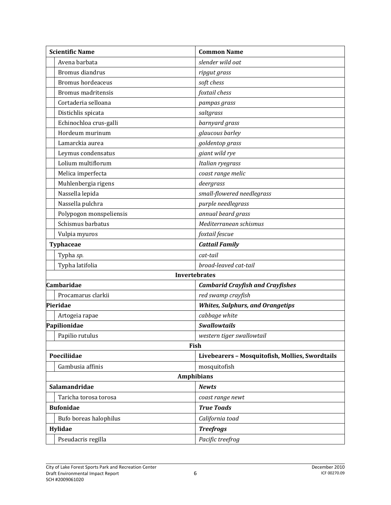| <b>Scientific Name</b>    | <b>Common Name</b>                              |
|---------------------------|-------------------------------------------------|
| Avena barbata             | slender wild oat                                |
| Bromus diandrus           | ripgut grass                                    |
| <b>Bromus hordeaceus</b>  | soft chess                                      |
| <b>Bromus madritensis</b> | foxtail chess                                   |
| Cortaderia selloana       | pampas grass                                    |
| Distichlis spicata        | saltgrass                                       |
| Echinochloa crus-galli    | barnyard grass                                  |
| Hordeum murinum           | glaucous barley                                 |
| Lamarckia aurea           | goldentop grass                                 |
| Leymus condensatus        | giant wild rye                                  |
| Lolium multiflorum        | Italian ryegrass                                |
| Melica imperfecta         | coast range melic                               |
| Muhlenbergia rigens       | deergrass                                       |
| Nassella lepida           | small-flowered needlegrass                      |
| Nassella pulchra          | purple needlegrass                              |
| Polypogon monspeliensis   | annual beard grass                              |
| Schismus barbatus         | Mediterranean schismus                          |
| Vulpia myuros             | foxtail fescue                                  |
| <b>Typhaceae</b>          | <b>Cattail Family</b>                           |
| Typha sp.                 | cat-tail                                        |
| Typha latifolia           | broad-leaved cat-tail                           |
|                           | <b>Invertebrates</b>                            |
| <b>Cambaridae</b>         | <b>Cambarid Crayfish and Crayfishes</b>         |
| Procamarus clarkii        | red swamp crayfish                              |
| Pieridae                  | <b>Whites, Sulphurs, and Orangetips</b>         |
| Artogeia rapae            | cabbage white                                   |
| Papilionidae              | <b>Swallowtails</b>                             |
| Papilio rutulus           | western tiger swallowtail                       |
| Fish                      |                                                 |
| Poeciliidae               | Livebearers - Mosquitofish, Mollies, Swordtails |
| Gambusia affinis          | mosquitofish                                    |
| <b>Amphibians</b>         |                                                 |
| Salamandridae             | <b>Newts</b>                                    |
| Taricha torosa torosa     | coast range newt                                |
| <b>Bufonidae</b>          | <b>True Toads</b>                               |
| Bufo boreas halophilus    | California toad                                 |
| Hylidae                   | <b>Treefrogs</b>                                |
| Pseudacris regilla        | Pacific treefrog                                |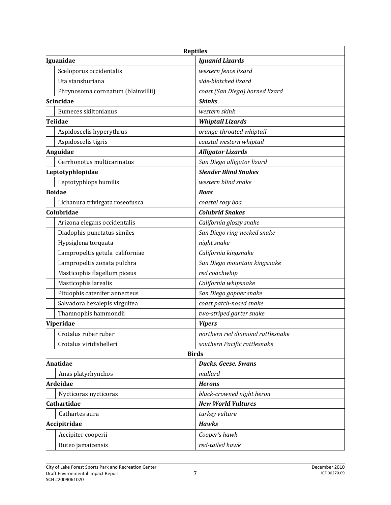| <b>Reptiles</b>                    |                                  |  |
|------------------------------------|----------------------------------|--|
| Iguanidae                          | <b>Iguanid Lizards</b>           |  |
| Sceloporus occidentalis            | western fence lizard             |  |
| Uta stansburiana                   | side-blotched lizard             |  |
| Phrynosoma coronatum (blainvillii) | coast (San Diego) horned lizard  |  |
| <b>Scincidae</b>                   | <b>Skinks</b>                    |  |
| Eumeces skiltonianus               | western skink                    |  |
| <b>Teiidae</b>                     | <b>Whiptail Lizards</b>          |  |
| Aspidoscelis hyperythrus           | orange-throated whiptail         |  |
| Aspidoscelis tigris                | coastal western whiptail         |  |
| Anguidae                           | <b>Alligator Lizards</b>         |  |
| Gerrhonotus multicarinatus         | San Diego alligator lizard       |  |
| Leptotyphlopidae                   | <b>Slender Blind Snakes</b>      |  |
| Leptotyphlops humilis              | western blind snake              |  |
| <b>Boidae</b>                      | <b>Boas</b>                      |  |
| Lichanura trivirgata roseofusca    | coastal rosy boa                 |  |
| Colubridae                         | <b>Colubrid Snakes</b>           |  |
| Arizona elegans occidentalis       | California glossy snake          |  |
| Diadophis punctatus similes        | San Diego ring-necked snake      |  |
| Hypsiglena torquata                | night snake                      |  |
| Lampropeltis getula californiae    | California kingsnake             |  |
| Lampropeltis zonata pulchra        | San Diego mountain kingsnake     |  |
| Masticophis flagellum piceus       | red coachwhip                    |  |
| Masticophis larealis               | California whipsnake             |  |
| Pituophis catenifer annecteus      | San Diego gopher snake           |  |
| Salvadora hexalepis virgultea      | coast patch-nosed snake          |  |
| Thamnophis hammondii               | two-striped garter snake         |  |
| Viperidae                          | <b>Vipers</b>                    |  |
| Crotalus ruber ruber               | northern red diamond rattlesnake |  |
| Crotalus viridishelleri            | southern Pacific rattlesnake     |  |
| <b>Birds</b>                       |                                  |  |
| <b>Anatidae</b>                    | <b>Ducks, Geese, Swans</b>       |  |
| Anas platyrhynchos                 | mallard                          |  |
| <b>Ardeidae</b>                    | <b>Herons</b>                    |  |
| Nycticorax nycticorax              | black-crowned night heron        |  |
| <b>Cathartidae</b>                 | <b>New World Vultures</b>        |  |
| Cathartes aura                     | turkey vulture                   |  |
| Accipitridae                       | <b>Hawks</b>                     |  |
| Accipiter cooperii                 | Cooper's hawk                    |  |
| Buteo jamaicensis                  | red-tailed hawk                  |  |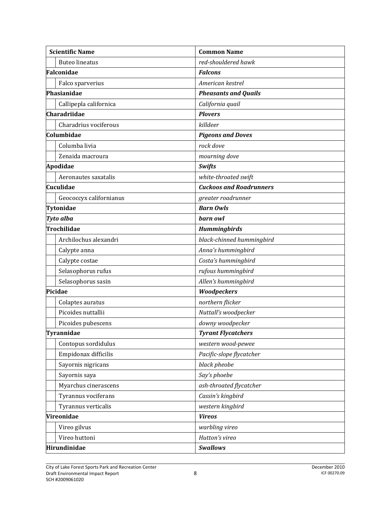| <b>Scientific Name</b>  | <b>Common Name</b>             |
|-------------------------|--------------------------------|
| <b>Buteo lineatus</b>   | red-shouldered hawk            |
| Falconidae              | <b>Falcons</b>                 |
| Falco sparverius        | American kestrel               |
| Phasianidae             | <b>Pheasants and Quails</b>    |
| Callipepla californica  | California quail               |
| Charadriidae            | <b>Plovers</b>                 |
| Charadrius vociferous   | killdeer                       |
| Columbidae              | <b>Pigeons and Doves</b>       |
| Columba livia           | rock dove                      |
| Zenaida macroura        | mourning dove                  |
| Apodidae                | <b>Swifts</b>                  |
| Aeronautes saxatalis    | white-throated swift           |
| Cuculidae               | <b>Cuckoos and Roadrunners</b> |
| Geococcyx californianus | greater roadrunner             |
| Tytonidae               | <b>Barn Owls</b>               |
| Tyto alba               | barn owl                       |
| <b>Trochilidae</b>      | <b>Hummingbirds</b>            |
| Archilochus alexandri   | black-chinned hummingbird      |
| Calypte anna            | Anna's hummingbird             |
| Calypte costae          | Costa's hummingbird            |
| Selasophorus rufus      | rufous hummingbird             |
| Selasophorus sasin      | Allen's hummingbird            |
| Picidae                 | Woodpeckers                    |
| Colaptes auratus        | northern flicker               |
| Picoides nuttallii      | Nuttall's woodpecker           |
| Picoides pubescens      | downy woodpecker               |
| Tyrannidae              | <b>Tyrant Flycatchers</b>      |
| Contopus sordidulus     | western wood-pewee             |
| Empidonax difficilis    | Pacific-slope flycatcher       |
| Sayornis nigricans      | black pheobe                   |
| Sayornis saya           | Say's phoebe                   |
| Myarchus cinerascens    | ash-throated flycatcher        |
| Tyrannus vociferans     | Cassin's kingbird              |
| Tyrannus verticalis     | western kingbird               |
| Vireonidae              | <b>Vireos</b>                  |
| Vireo gilvus            | warbling vireo                 |
| Vireo huttoni           | Hutton's vireo                 |
| Hirundinidae            | <b>Swallows</b>                |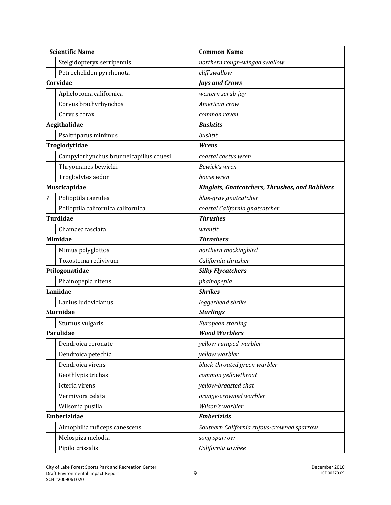|          | <b>Scientific Name</b>                 | <b>Common Name</b>                                    |
|----------|----------------------------------------|-------------------------------------------------------|
|          | Stelgidopteryx serripennis             | northern rough-winged swallow                         |
|          | Petrochelidon pyrrhonota               | cliff swallow                                         |
| Corvidae |                                        | <b>Jays and Crows</b>                                 |
|          | Aphelocoma californica                 | western scrub-jay                                     |
|          | Corvus brachyrhynchos                  | American crow                                         |
|          | Corvus corax                           | common raven                                          |
|          | Aegithalidae                           | <b>Bushtits</b>                                       |
|          | Psaltriparus minimus                   | bushtit                                               |
|          | Troglodytidae                          | Wrens                                                 |
|          | Campylorhynchus brunneicapillus couesi | coastal cactus wren                                   |
|          | Thryomanes bewickii                    | Bewick's wren                                         |
|          | Troglodytes aedon                      | house wren                                            |
|          | Muscicapidae                           | <b>Kinglets, Gnatcatchers, Thrushes, and Babblers</b> |
|          | Polioptila caerulea                    | blue-gray gnatcatcher                                 |
|          | Polioptila californica californica     | coastal California gnatcatcher                        |
|          | <b>Turdidae</b>                        | <b>Thrushes</b>                                       |
|          | Chamaea fasciata                       | wrentit                                               |
| Mimidae  |                                        | <b>Thrashers</b>                                      |
|          | Mimus polyglottos                      | northern mockingbird                                  |
|          | Toxostoma redivivum                    | California thrasher                                   |
|          | Ptilogonatidae                         | <b>Silky Flycatchers</b>                              |
|          | Phainopepla nitens                     | phainopepla                                           |
| Laniidae |                                        | <b>Shrikes</b>                                        |
|          | Lanius ludovicianus                    | loggerhead shrike                                     |
|          | <b>Sturnidae</b>                       | <b>Starlings</b>                                      |
|          | Sturnus vulgaris                       | European starling                                     |
|          | Parulidae                              | <b>Wood Warblers</b>                                  |
|          | Dendroica coronate                     | yellow-rumped warbler                                 |
|          | Dendroica petechia                     | yellow warbler                                        |
|          | Dendroica virens                       | black-throated green warbler                          |
|          | Geothlypis trichas                     | common yellowthroat                                   |
|          | Icteria virens                         | yellow-breasted chat                                  |
|          | Vermivora celata                       | orange-crowned warbler                                |
|          | Wilsonia pusilla                       | Wilson's warbler                                      |
|          | <b>Emberizidae</b>                     | <b>Emberizids</b>                                     |
|          | Aimophilia ruficeps canescens          | Southern California rufous-crowned sparrow            |
|          | Melospiza melodia                      | song sparrow                                          |
|          | Pipilo crissalis                       | California towhee                                     |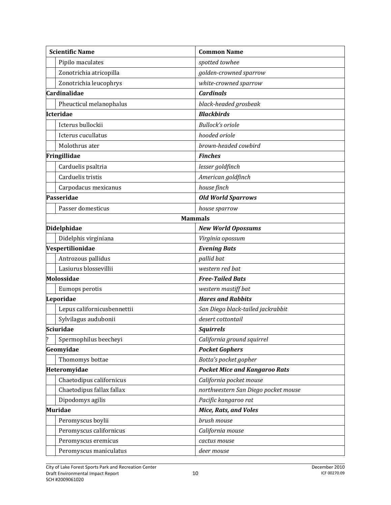|            | <b>Scientific Name</b>      | <b>Common Name</b>                   |
|------------|-----------------------------|--------------------------------------|
|            | Pipilo maculates            | spotted towhee                       |
|            | Zonotrichia atricopilla     | golden-crowned sparrow               |
|            | Zonotrichia leucophrys      | white-crowned sparrow                |
|            | <b>Cardinalidae</b>         | <b>Cardinals</b>                     |
|            | Pheucticul melanophalus     | black-headed grosbeak                |
|            | Icteridae                   | <b>Blackbirds</b>                    |
|            | Icterus bullockii           | <b>Bullock's oriole</b>              |
|            | Icterus cucullatus          | hooded oriole                        |
|            | Molothrus ater              | brown-headed cowbird                 |
|            | Fringillidae                | <b>Finches</b>                       |
|            | Carduelis psaltria          | lesser goldfinch                     |
|            | Carduelis tristis           | American goldfinch                   |
|            | Carpodacus mexicanus        | house finch                          |
|            | Passeridae                  | <b>Old World Sparrows</b>            |
|            | Passer domesticus           | house sparrow                        |
|            |                             | <b>Mammals</b>                       |
|            | Didelphidae                 | <b>New World Opossums</b>            |
|            | Didelphis virginiana        | Virginia opossum                     |
|            | Vespertilionidae            | <b>Evening Bats</b>                  |
|            | Antrozous pallidus          | pallid bat                           |
|            | Lasiurus blossevillii       | western red bat                      |
| Molossidae |                             | <b>Free-Tailed Bats</b>              |
|            | Eumops perotis              | western mastiff bat                  |
|            | Leporidae                   | <b>Hares and Rabbits</b>             |
|            | Lepus californicusbennettii | San Diego black-tailed jackrabbit    |
|            | Sylvilagus audubonii        | desert cottontail                    |
|            | <b>Sciuridae</b>            | <b>Squirrels</b>                     |
|            | Spermophilus beecheyi       | California ground squirrel           |
|            | Geomyidae                   | <b>Pocket Gophers</b>                |
|            | Thomomys bottae             | Botta's pocket gopher                |
|            | Heteromyidae                | <b>Pocket Mice and Kangaroo Rats</b> |
|            | Chaetodipus californicus    | California pocket mouse              |
|            | Chaetodipus fallax fallax   | northwestern San Diego pocket mouse  |
|            | Dipodomys agilis            | Pacific kangaroo rat                 |
|            | <b>Muridae</b>              | <b>Mice, Rats, and Voles</b>         |
|            | Peromyscus boylii           | brush mouse                          |
|            | Peromyscus californicus     | California mouse                     |
|            | Peromyscus eremicus         | cactus mouse                         |
|            | Peromyscus maniculatus      | deer mouse                           |